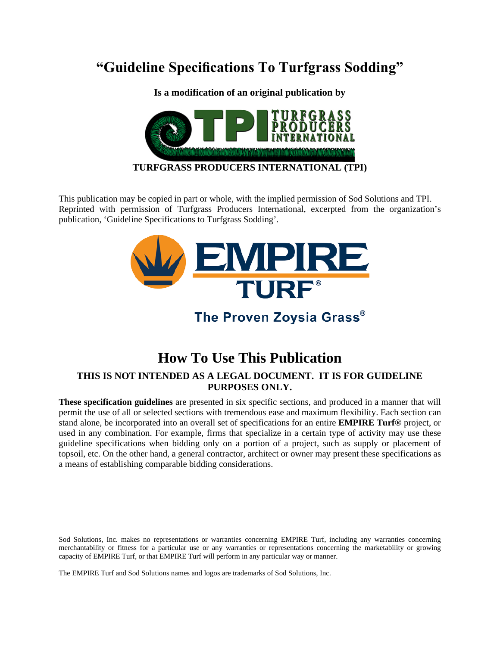# **"Guideline Specifications To Turfgrass Sodding"**

**Is a modification of an original publication by** 



#### **TURFGRASS PRODUCERS INTERNATIONAL (TPI)**

This publication may be copied in part or whole, with the implied permission of Sod Solutions and TPI. Reprinted with permission of Turfgrass Producers International, excerpted from the organization's publication, 'Guideline Specifications to Turfgrass Sodding'.



#### The Proven Zoysia Grass®

### **How To Use This Publication**

#### **THIS IS NOT INTENDED AS A LEGAL DOCUMENT. IT IS FOR GUIDELINE PURPOSES ONLY.**

**These specification guidelines** are presented in six specific sections, and produced in a manner that will permit the use of all or selected sections with tremendous ease and maximum flexibility. Each section can stand alone, be incorporated into an overall set of specifications for an entire **EMPIRE Turf®** project, or used in any combination. For example, firms that specialize in a certain type of activity may use these guideline specifications when bidding only on a portion of a project, such as supply or placement of topsoil, etc. On the other hand, a general contractor, architect or owner may present these specifications as a means of establishing comparable bidding considerations.

Sod Solutions, Inc. makes no representations or warranties concerning EMPIRE Turf, including any warranties concerning merchantability or fitness for a particular use or any warranties or representations concerning the marketability or growing capacity of EMPIRE Turf, or that EMPIRE Turf will perform in any particular way or manner.

The EMPIRE Turf and Sod Solutions names and logos are trademarks of Sod Solutions, Inc.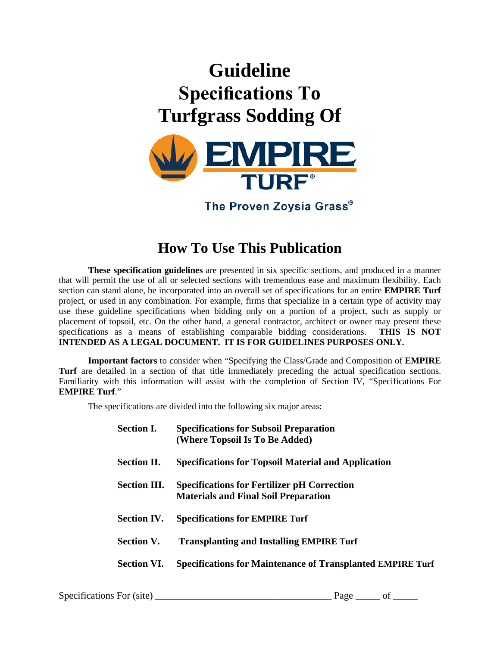# **Guideline Specifications To Turfgrass Sodding Of**



The Proven Zoysia Grass®

# **How To Use This Publication**

**These specification guidelines** are presented in six specific sections, and produced in a manner that will permit the use of all or selected sections with tremendous ease and maximum flexibility. Each section can stand alone, be incorporated into an overall set of specifications for an entire **EMPIRE Turf** project, or used in any combination. For example, firms that specialize in a certain type of activity may use these guideline specifications when bidding only on a portion of a project, such as supply or placement of topsoil, etc. On the other hand, a general contractor, architect or owner may present these specifications as a means of establishing comparable bidding considerations. THIS IS NOT specifications as a means of establishing comparable bidding considerations. **INTENDED AS A LEGAL DOCUMENT. IT IS FOR GUIDELINES PURPOSES ONLY.**

**Important factors** to consider when "Specifying the Class/Grade and Composition of **EMPIRE Turf** are detailed in a section of that title immediately preceding the actual specification sections. Familiarity with this information will assist with the completion of Section IV, "Specifications For **EMPIRE Turf**."

The specifications are divided into the following six major areas:

| <b>Section I.</b>   | <b>Specifications for Subsoil Preparation</b><br>(Where Topsoil Is To Be Added)                   |
|---------------------|---------------------------------------------------------------------------------------------------|
| <b>Section II.</b>  | <b>Specifications for Topsoil Material and Application</b>                                        |
| <b>Section III.</b> | <b>Specifications for Fertilizer pH Correction</b><br><b>Materials and Final Soil Preparation</b> |
| <b>Section IV.</b>  | <b>Specifications for EMPIRE Turf</b>                                                             |
| <b>Section V.</b>   | <b>Transplanting and Installing EMPIRE Turf</b>                                                   |
| <b>Section VI.</b>  | <b>Specifications for Maintenance of Transplanted EMPIRE Turf</b>                                 |
|                     |                                                                                                   |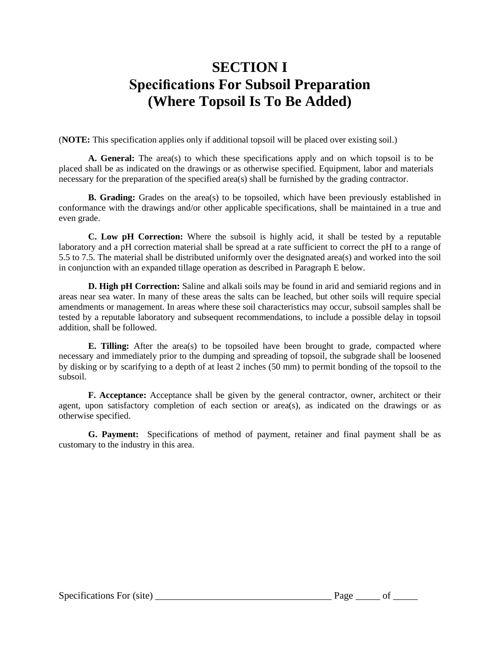# **SECTION I Specifications For Subsoil Preparation (Where Topsoil Is To Be Added)**

(**NOTE:** This specification applies only if additional topsoil will be placed over existing soil.)

**A. General:** The area(s) to which these specifications apply and on which topsoil is to be placed shall be as indicated on the drawings or as otherwise specified. Equipment, labor and materials necessary for the preparation of the specified area(s) shall be furnished by the grading contractor.

**B. Grading:** Grades on the area(s) to be topsoiled, which have been previously established in conformance with the drawings and/or other applicable specifications, shall be maintained in a true and even grade.

**C. Low pH Correction:** Where the subsoil is highly acid, it shall be tested by a reputable laboratory and a pH correction material shall be spread at a rate sufficient to correct the pH to a range of 5.5 to 7.5. The material shall be distributed uniformly over the designated area(s) and worked into the soil in conjunction with an expanded tillage operation as described in Paragraph E below.

**D. High pH Correction:** Saline and alkali soils may be found in arid and semiarid regions and in areas near sea water. In many of these areas the salts can be leached, but other soils will require special amendments or management. In areas where these soil characteristics may occur, subsoil samples shall be tested by a reputable laboratory and subsequent recommendations, to include a possible delay in topsoil addition, shall be followed.

**E. Tilling:** After the area(s) to be topsoiled have been brought to grade, compacted where necessary and immediately prior to the dumping and spreading of topsoil, the subgrade shall be loosened by disking or by scarifying to a depth of at least 2 inches (50 mm) to permit bonding of the topsoil to the subsoil.

**F. Acceptance:** Acceptance shall be given by the general contractor, owner, architect or their agent, upon satisfactory completion of each section or area(s), as indicated on the drawings or as otherwise specified.

**G. Payment:** Specifications of method of payment, retainer and final payment shall be as customary to the industry in this area.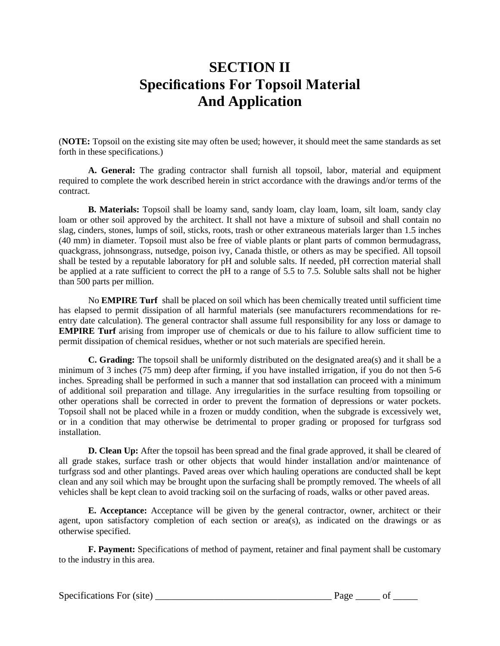### **SECTION II Specifications For Topsoil Material And Application**

(**NOTE:** Topsoil on the existing site may often be used; however, it should meet the same standards as set forth in these specifications.)

**A. General:** The grading contractor shall furnish all topsoil, labor, material and equipment required to complete the work described herein in strict accordance with the drawings and/or terms of the contract.

**B. Materials:** Topsoil shall be loamy sand, sandy loam, clay loam, loam, silt loam, sandy clay loam or other soil approved by the architect. It shall not have a mixture of subsoil and shall contain no slag, cinders, stones, lumps of soil, sticks, roots, trash or other extraneous materials larger than 1.5 inches (40 mm) in diameter. Topsoil must also be free of viable plants or plant parts of common bermudagrass, quackgrass, johnsongrass, nutsedge, poison ivy, Canada thistle, or others as may be specified. All topsoil shall be tested by a reputable laboratory for pH and soluble salts. If needed, pH correction material shall be applied at a rate sufficient to correct the pH to a range of 5.5 to 7.5. Soluble salts shall not be higher than 500 parts per million.

No **EMPIRE Turf** shall be placed on soil which has been chemically treated until sufficient time has elapsed to permit dissipation of all harmful materials (see manufacturers recommendations for reentry date calculation). The general contractor shall assume full responsibility for any loss or damage to **EMPIRE Turf** arising from improper use of chemicals or due to his failure to allow sufficient time to permit dissipation of chemical residues, whether or not such materials are specified herein.

**C. Grading:** The topsoil shall be uniformly distributed on the designated area(s) and it shall be a minimum of 3 inches (75 mm) deep after firming, if you have installed irrigation, if you do not then 5-6 inches. Spreading shall be performed in such a manner that sod installation can proceed with a minimum of additional soil preparation and tillage. Any irregularities in the surface resulting from topsoiling or other operations shall be corrected in order to prevent the formation of depressions or water pockets. Topsoil shall not be placed while in a frozen or muddy condition, when the subgrade is excessively wet, or in a condition that may otherwise be detrimental to proper grading or proposed for turfgrass sod installation.

**D. Clean Up:** After the topsoil has been spread and the final grade approved, it shall be cleared of all grade stakes, surface trash or other objects that would hinder installation and/or maintenance of turfgrass sod and other plantings. Paved areas over which hauling operations are conducted shall be kept clean and any soil which may be brought upon the surfacing shall be promptly removed. The wheels of all vehicles shall be kept clean to avoid tracking soil on the surfacing of roads, walks or other paved areas.

**E. Acceptance:** Acceptance will be given by the general contractor, owner, architect or their agent, upon satisfactory completion of each section or area(s), as indicated on the drawings or as otherwise specified.

**F. Payment:** Specifications of method of payment, retainer and final payment shall be customary to the industry in this area.

Specifications For (site) \_\_\_\_\_\_\_\_\_\_\_\_\_\_\_\_\_\_\_\_\_\_\_\_\_\_\_\_\_\_\_\_\_\_\_\_ Page \_\_\_\_\_ of \_\_\_\_\_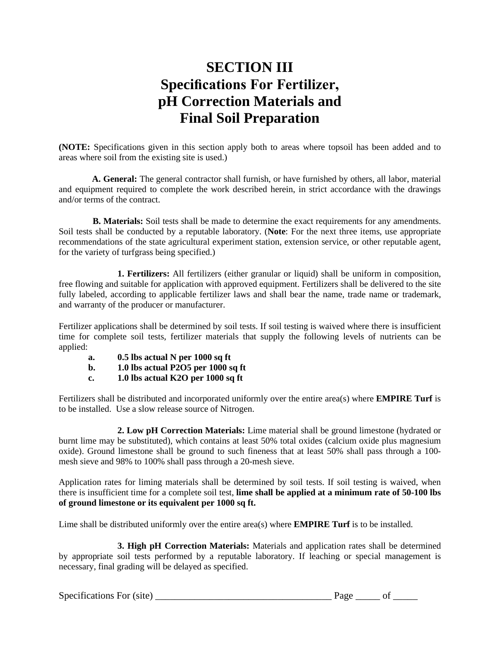# **SECTION III Specifications For Fertilizer, pH Correction Materials and Final Soil Preparation**

**(NOTE:** Specifications given in this section apply both to areas where topsoil has been added and to areas where soil from the existing site is used.)

**A. General:** The general contractor shall furnish, or have furnished by others, all labor, material and equipment required to complete the work described herein, in strict accordance with the drawings and/or terms of the contract.

 **B. Materials:** Soil tests shall be made to determine the exact requirements for any amendments. Soil tests shall be conducted by a reputable laboratory. (**Note**: For the next three items, use appropriate recommendations of the state agricultural experiment station, extension service, or other reputable agent, for the variety of turfgrass being specified.)

**1. Fertilizers:** All fertilizers (either granular or liquid) shall be uniform in composition, free flowing and suitable for application with approved equipment. Fertilizers shall be delivered to the site fully labeled, according to applicable fertilizer laws and shall bear the name, trade name or trademark, and warranty of the producer or manufacturer.

Fertilizer applications shall be determined by soil tests. If soil testing is waived where there is insufficient time for complete soil tests, fertilizer materials that supply the following levels of nutrients can be applied:

- **a. 0.5 lbs actual N per 1000 sq ft**
- **b. 1.0 lbs actual P2O5 per 1000 sq ft**
- **c. 1.0 lbs actual K2O per 1000 sq ft**

Fertilizers shall be distributed and incorporated uniformly over the entire area(s) where **EMPIRE Turf** is to be installed. Use a slow release source of Nitrogen.

**2. Low pH Correction Materials:** Lime material shall be ground limestone (hydrated or burnt lime may be substituted), which contains at least 50% total oxides (calcium oxide plus magnesium oxide). Ground limestone shall be ground to such fineness that at least 50% shall pass through a 100 mesh sieve and 98% to 100% shall pass through a 20-mesh sieve.

Application rates for liming materials shall be determined by soil tests. If soil testing is waived, when there is insufficient time for a complete soil test, **lime shall be applied at a minimum rate of 50-100 lbs of ground limestone or its equivalent per 1000 sq ft.** 

Lime shall be distributed uniformly over the entire area(s) where **EMPIRE Turf** is to be installed.

**3. High pH Correction Materials:** Materials and application rates shall be determined by appropriate soil tests performed by a reputable laboratory. If leaching or special management is necessary, final grading will be delayed as specified.

Specifications For (site)  $\qquad \qquad$  Page  $\qquad \qquad$  of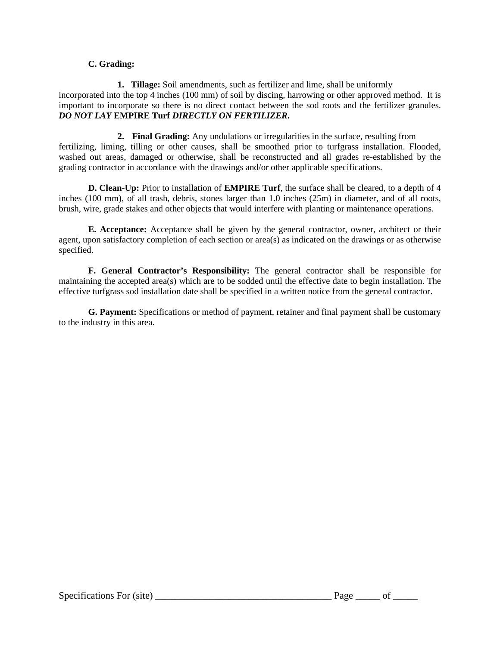#### **C. Grading:**

**1. Tillage:** Soil amendments, such as fertilizer and lime, shall be uniformly incorporated into the top  $\frac{3}{4}$  inches (100 mm) of soil by discing, harrowing or other approved method. It is important to incorporate so there is no direct contact between the sod roots and the fertilizer granules. *DO NOT LAY* **EMPIRE Turf** *DIRECTLY ON FERTILIZER***.**

**2. Final Grading:** Any undulations or irregularities in the surface, resulting from fertilizing, liming, tilling or other causes, shall be smoothed prior to turfgrass installation. Flooded, washed out areas, damaged or otherwise, shall be reconstructed and all grades re-established by the grading contractor in accordance with the drawings and/or other applicable specifications.

**D. Clean-Up:** Prior to installation of **EMPIRE Turf**, the surface shall be cleared, to a depth of 4 inches (100 mm), of all trash, debris, stones larger than 1.0 inches (25m) in diameter, and of all roots, brush, wire, grade stakes and other objects that would interfere with planting or maintenance operations.

**E. Acceptance:** Acceptance shall be given by the general contractor, owner, architect or their agent, upon satisfactory completion of each section or area(s) as indicated on the drawings or as otherwise specified.

**F. General Contractor's Responsibility:** The general contractor shall be responsible for maintaining the accepted area(s) which are to be sodded until the effective date to begin installation. The effective turfgrass sod installation date shall be specified in a written notice from the general contractor.

**G. Payment:** Specifications or method of payment, retainer and final payment shall be customary to the industry in this area.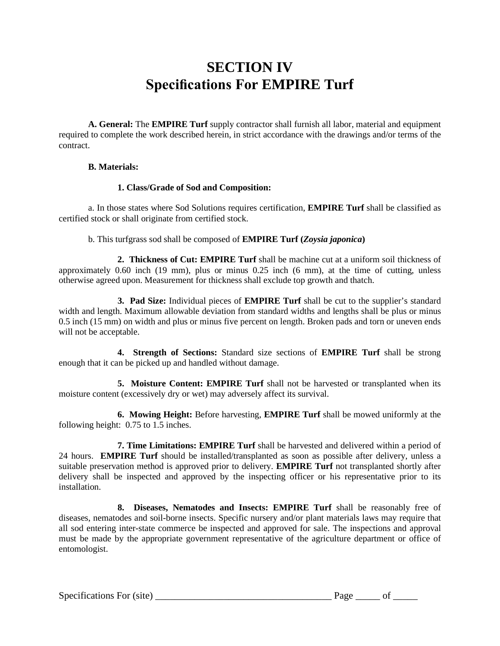# **SECTION IV Specifications For EMPIRE Turf**

**A. General:** The **EMPIRE Turf** supply contractor shall furnish all labor, material and equipment required to complete the work described herein, in strict accordance with the drawings and/or terms of the contract.

#### **B. Materials:**

#### **1. Class/Grade of Sod and Composition:**

a. In those states where Sod Solutions requires certification, **EMPIRE Turf** shall be classified as certified stock or shall originate from certified stock.

b. This turfgrass sod shall be composed of **EMPIRE Turf (***Zoysia japonica***)**

**2. Thickness of Cut: EMPIRE Turf** shall be machine cut at a uniform soil thickness of approximately 0.60 inch (19 mm), plus or minus 0.25 inch (6 mm), at the time of cutting, unless otherwise agreed upon. Measurement for thickness shall exclude top growth and thatch.

**3. Pad Size:** Individual pieces of **EMPIRE Turf** shall be cut to the supplier's standard width and length. Maximum allowable deviation from standard widths and lengths shall be plus or minus 0.5 inch (15 mm) on width and plus or minus five percent on length. Broken pads and torn or uneven ends will not be acceptable.

**4. Strength of Sections:** Standard size sections of **EMPIRE Turf** shall be strong enough that it can be picked up and handled without damage.

**5. Moisture Content: EMPIRE Turf** shall not be harvested or transplanted when its moisture content (excessively dry or wet) may adversely affect its survival.

**6. Mowing Height:** Before harvesting, **EMPIRE Turf** shall be mowed uniformly at the following height: 0.75 to 1.5 inches.

**7. Time Limitations: EMPIRE Turf** shall be harvested and delivered within a period of 24 hours. **EMPIRE Turf** should be installed/transplanted as soon as possible after delivery, unless a suitable preservation method is approved prior to delivery. **EMPIRE Turf** not transplanted shortly after delivery shall be inspected and approved by the inspecting officer or his representative prior to its installation.

**8. Diseases, Nematodes and Insects: EMPIRE Turf** shall be reasonably free of diseases, nematodes and soil-borne insects. Specific nursery and/or plant materials laws may require that all sod entering inter-state commerce be inspected and approved for sale. The inspections and approval must be made by the appropriate government representative of the agriculture department or office of entomologist.

Specifications For (site)  $\qquad \qquad$  Page  $\qquad \qquad$  of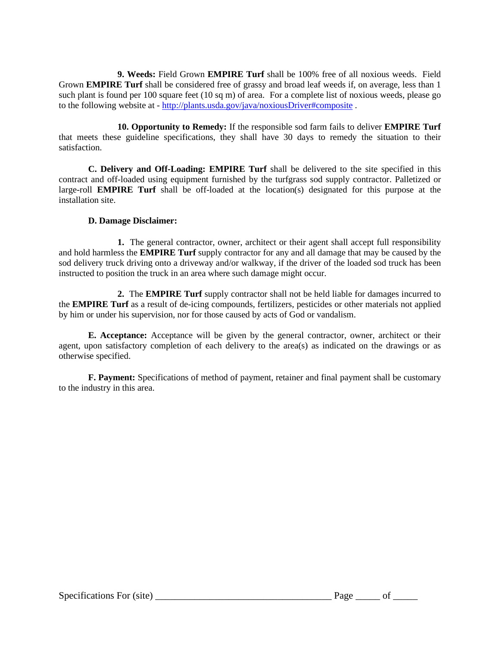**9. Weeds:** Field Grown **EMPIRE Turf** shall be 100% free of all noxious weeds. Field Grown **EMPIRE Turf** shall be considered free of grassy and broad leaf weeds if, on average, less than 1 such plant is found per 100 square feet (10 sq m) of area. For a complete list of noxious weeds, please go to the following website at - <http://plants.usda.gov/java/noxiousDriver#composite> .

**10. Opportunity to Remedy:** If the responsible sod farm fails to deliver **EMPIRE Turf** that meets these guideline specifications, they shall have 30 days to remedy the situation to their satisfaction.

**C. Delivery and Off-Loading: EMPIRE Turf** shall be delivered to the site specified in this contract and off-loaded using equipment furnished by the turfgrass sod supply contractor. Palletized or large-roll **EMPIRE Turf** shall be off-loaded at the location(s) designated for this purpose at the installation site.

#### **D. Damage Disclaimer:**

**1.** The general contractor, owner, architect or their agent shall accept full responsibility and hold harmless the **EMPIRE Turf** supply contractor for any and all damage that may be caused by the sod delivery truck driving onto a driveway and/or walkway, if the driver of the loaded sod truck has been instructed to position the truck in an area where such damage might occur.

**2.** The **EMPIRE Turf** supply contractor shall not be held liable for damages incurred to the **EMPIRE Turf** as a result of de-icing compounds, fertilizers, pesticides or other materials not applied by him or under his supervision, nor for those caused by acts of God or vandalism.

**E. Acceptance:** Acceptance will be given by the general contractor, owner, architect or their agent, upon satisfactory completion of each delivery to the area(s) as indicated on the drawings or as otherwise specified.

**F. Payment:** Specifications of method of payment, retainer and final payment shall be customary to the industry in this area.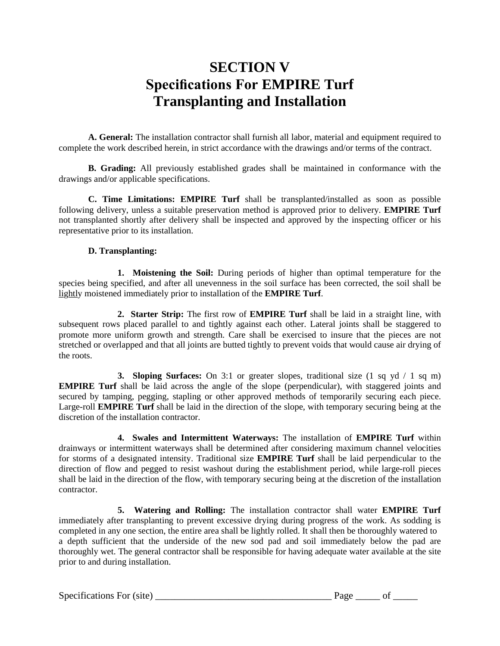# **SECTION V Specifications For EMPIRE Turf Transplanting and Installation**

**A. General:** The installation contractor shall furnish all labor, material and equipment required to complete the work described herein, in strict accordance with the drawings and/or terms of the contract.

**B. Grading:** All previously established grades shall be maintained in conformance with the drawings and/or applicable specifications.

**C. Time Limitations: EMPIRE Turf** shall be transplanted/installed as soon as possible following delivery, unless a suitable preservation method is approved prior to delivery. **EMPIRE Turf** not transplanted shortly after delivery shall be inspected and approved by the inspecting officer or his representative prior to its installation.

#### **D. Transplanting:**

**1. Moistening the Soil:** During periods of higher than optimal temperature for the species being specified, and after all unevenness in the soil surface has been corrected, the soil shall be lightly moistened immediately prior to installation of the **EMPIRE Turf**.

**2. Starter Strip:** The first row of **EMPIRE Turf** shall be laid in a straight line, with subsequent rows placed parallel to and tightly against each other. Lateral joints shall be staggered to promote more uniform growth and strength. Care shall be exercised to insure that the pieces are not stretched or overlapped and that all joints are butted tightly to prevent voids that would cause air drying of the roots.

**3. Sloping Surfaces:** On 3:1 or greater slopes, traditional size (1 sq yd / 1 sq m) **EMPIRE Turf** shall be laid across the angle of the slope (perpendicular), with staggered joints and secured by tamping, pegging, stapling or other approved methods of temporarily securing each piece. Large-roll **EMPIRE Turf** shall be laid in the direction of the slope, with temporary securing being at the discretion of the installation contractor.

**4. Swales and Intermittent Waterways:** The installation of **EMPIRE Turf** within drainways or intermittent waterways shall be determined after considering maximum channel velocities for storms of a designated intensity. Traditional size **EMPIRE Turf** shall be laid perpendicular to the direction of flow and pegged to resist washout during the establishment period, while large-roll pieces shall be laid in the direction of the flow, with temporary securing being at the discretion of the installation contractor.

**5. Watering and Rolling:** The installation contractor shall water **EMPIRE Turf** immediately after transplanting to prevent excessive drying during progress of the work. As sodding is completed in any one section, the entire area shall be lightly rolled. It shall then be thoroughly watered to a depth sufficient that the underside of the new sod pad and soil immediately below the pad are thoroughly wet. The general contractor shall be responsible for having adequate water available at the site prior to and during installation.

Specifications For (site) \_\_\_\_\_\_\_\_\_\_\_\_\_\_\_\_\_\_\_\_\_\_\_\_\_\_\_\_\_\_\_\_\_\_\_\_ Page \_\_\_\_\_ of \_\_\_\_\_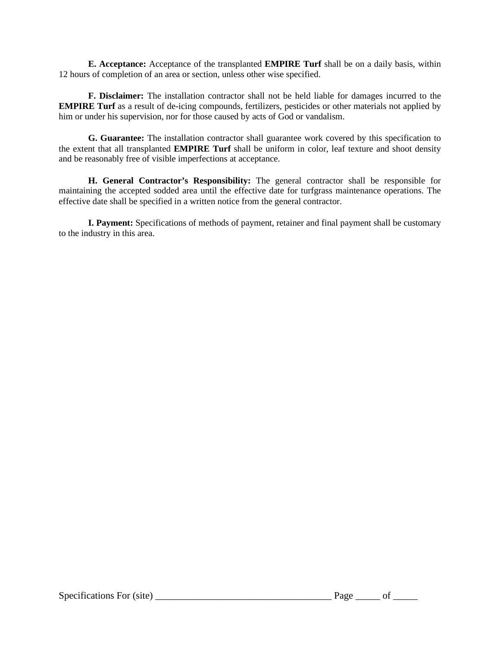**E. Acceptance:** Acceptance of the transplanted **EMPIRE Turf** shall be on a daily basis, within 12 hours of completion of an area or section, unless other wise specified.

**F. Disclaimer:** The installation contractor shall not be held liable for damages incurred to the **EMPIRE Turf** as a result of de-icing compounds, fertilizers, pesticides or other materials not applied by him or under his supervision, nor for those caused by acts of God or vandalism.

**G. Guarantee:** The installation contractor shall guarantee work covered by this specification to the extent that all transplanted **EMPIRE Turf** shall be uniform in color, leaf texture and shoot density and be reasonably free of visible imperfections at acceptance.

**H. General Contractor's Responsibility:** The general contractor shall be responsible for maintaining the accepted sodded area until the effective date for turfgrass maintenance operations. The effective date shall be specified in a written notice from the general contractor.

**I. Payment:** Specifications of methods of payment, retainer and final payment shall be customary to the industry in this area.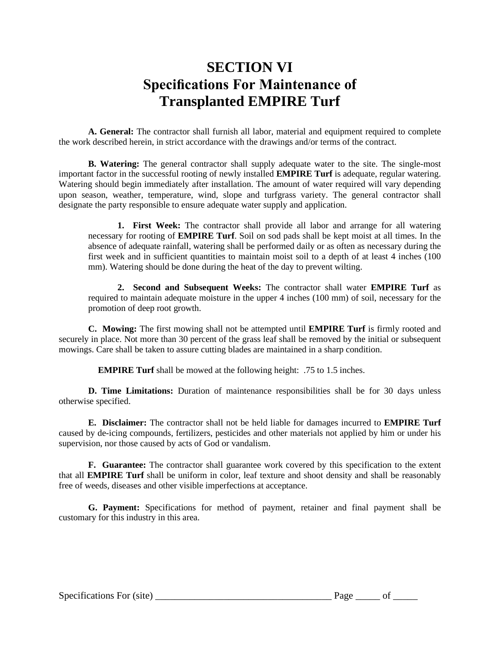# **SECTION VI Specifications For Maintenance of Transplanted EMPIRE Turf**

**A. General:** The contractor shall furnish all labor, material and equipment required to complete the work described herein, in strict accordance with the drawings and/or terms of the contract.

**B. Watering:** The general contractor shall supply adequate water to the site. The single-most important factor in the successful rooting of newly installed **EMPIRE Turf** is adequate, regular watering. Watering should begin immediately after installation. The amount of water required will vary depending upon season, weather, temperature, wind, slope and turfgrass variety. The general contractor shall designate the party responsible to ensure adequate water supply and application.

**1. First Week:** The contractor shall provide all labor and arrange for all watering necessary for rooting of **EMPIRE Turf**. Soil on sod pads shall be kept moist at all times. In the absence of adequate rainfall, watering shall be performed daily or as often as necessary during the first week and in sufficient quantities to maintain moist soil to a depth of at least 4 inches (100 mm). Watering should be done during the heat of the day to prevent wilting.

**2. Second and Subsequent Weeks:** The contractor shall water **EMPIRE Turf** as required to maintain adequate moisture in the upper 4 inches (100 mm) of soil, necessary for the promotion of deep root growth.

**C. Mowing:** The first mowing shall not be attempted until **EMPIRE Turf** is firmly rooted and securely in place. Not more than 30 percent of the grass leaf shall be removed by the initial or subsequent mowings. Care shall be taken to assure cutting blades are maintained in a sharp condition.

**EMPIRE Turf** shall be mowed at the following height: .75 to 1.5 inches.

**D. Time Limitations:** Duration of maintenance responsibilities shall be for 30 days unless otherwise specified.

**E. Disclaimer:** The contractor shall not be held liable for damages incurred to **EMPIRE Turf** caused by de-icing compounds, fertilizers, pesticides and other materials not applied by him or under his supervision, nor those caused by acts of God or vandalism.

**F. Guarantee:** The contractor shall guarantee work covered by this specification to the extent that all **EMPIRE Turf** shall be uniform in color, leaf texture and shoot density and shall be reasonably free of weeds, diseases and other visible imperfections at acceptance.

**G. Payment:** Specifications for method of payment, retainer and final payment shall be customary for this industry in this area.